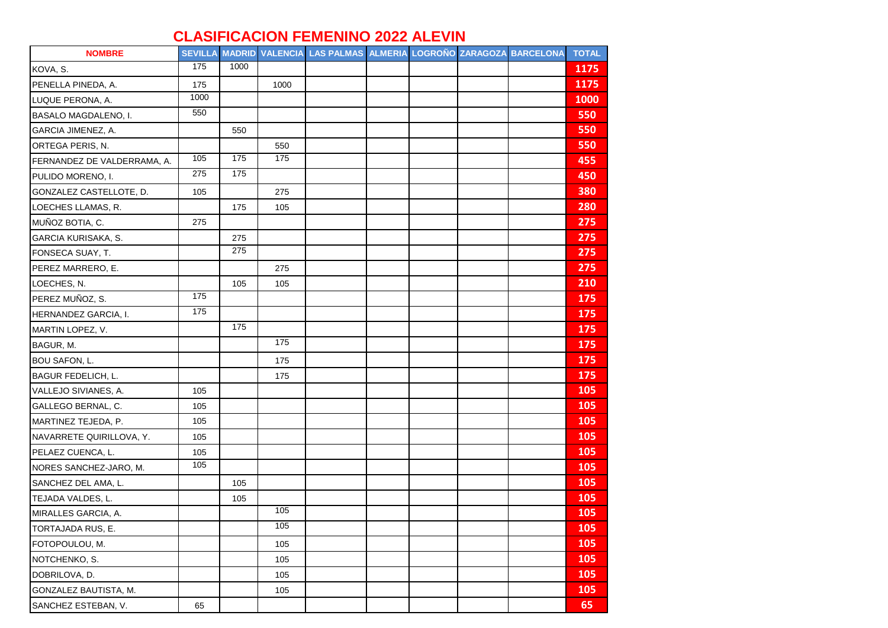## **CLASIFICACION FEMENINO 2022 ALEVIN**

| <b>NOMBRE</b>               |                 |      |      | SEVILLA MADRID VALENCIA LAS PALMAS ALMERIA LOGROÑO ZARAGOZA BARCELONA |  |  | <b>TOTAL</b> |
|-----------------------------|-----------------|------|------|-----------------------------------------------------------------------|--|--|--------------|
| KOVA, S.                    | 175             | 1000 |      |                                                                       |  |  | 1175         |
| PENELLA PINEDA, A.          | 175             |      | 1000 |                                                                       |  |  | 1175         |
| LUQUE PERONA, A.            | 1000            |      |      |                                                                       |  |  | 1000         |
| BASALO MAGDALENO, I.        | 550             |      |      |                                                                       |  |  | 550          |
| GARCIA JIMENEZ, A.          |                 | 550  |      |                                                                       |  |  | 550          |
| ORTEGA PERIS, N.            |                 |      | 550  |                                                                       |  |  | 550          |
| FERNANDEZ DE VALDERRAMA, A. | $\frac{105}{2}$ | 175  | 175  |                                                                       |  |  | 455          |
| PULIDO MORENO, I.           | 275             | 175  |      |                                                                       |  |  | 450          |
| GONZALEZ CASTELLOTE, D.     | 105             |      | 275  |                                                                       |  |  | 380          |
| LOECHES LLAMAS, R.          |                 | 175  | 105  |                                                                       |  |  | 280          |
| MUÑOZ BOTIA, C.             | 275             |      |      |                                                                       |  |  | 275          |
| GARCIA KURISAKA, S.         |                 | 275  |      |                                                                       |  |  | 275          |
| FONSECA SUAY, T.            |                 | 275  |      |                                                                       |  |  | 275          |
| PEREZ MARRERO, E.           |                 |      | 275  |                                                                       |  |  | 275          |
| LOECHES, N.                 |                 | 105  | 105  |                                                                       |  |  | 210          |
| PEREZ MUÑOZ, S.             | 175             |      |      |                                                                       |  |  | 175          |
| HERNANDEZ GARCIA, I.        | 175             |      |      |                                                                       |  |  | 175          |
| MARTIN LOPEZ, V.            |                 | 175  |      |                                                                       |  |  | 175          |
| BAGUR, M.                   |                 |      | 175  |                                                                       |  |  | 175          |
| BOU SAFON, L.               |                 |      | 175  |                                                                       |  |  | 175          |
| <b>BAGUR FEDELICH, L.</b>   |                 |      | 175  |                                                                       |  |  | 175          |
| VALLEJO SIVIANES, A.        | 105             |      |      |                                                                       |  |  | 105          |
| GALLEGO BERNAL, C.          | 105             |      |      |                                                                       |  |  | 105          |
| MARTINEZ TEJEDA, P.         | 105             |      |      |                                                                       |  |  | 105          |
| NAVARRETE QUIRILLOVA, Y.    | 105             |      |      |                                                                       |  |  | 105          |
| PELAEZ CUENCA, L.           | 105             |      |      |                                                                       |  |  | 105          |
| NORES SANCHEZ-JARO, M.      | 105             |      |      |                                                                       |  |  | 105          |
| SANCHEZ DEL AMA, L.         |                 | 105  |      |                                                                       |  |  | 105          |
| TEJADA VALDES, L.           |                 | 105  |      |                                                                       |  |  | 105          |
| MIRALLES GARCIA, A.         |                 |      | 105  |                                                                       |  |  | 105          |
| TORTAJADA RUS, E.           |                 |      | 105  |                                                                       |  |  | 105          |
| FOTOPOULOU, M.              |                 |      | 105  |                                                                       |  |  | 105          |
| NOTCHENKO, S.               |                 |      | 105  |                                                                       |  |  | 105          |
| DOBRILOVA, D.               |                 |      | 105  |                                                                       |  |  | 105          |
| GONZALEZ BAUTISTA, M.       |                 |      | 105  |                                                                       |  |  | 105          |
| SANCHEZ ESTEBAN, V.         | 65              |      |      |                                                                       |  |  | 65           |